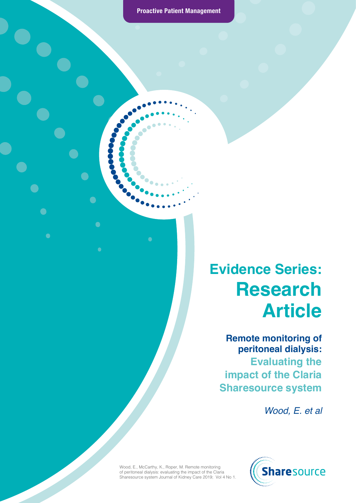S

 $\bullet$ 

 $\overline{\phantom{a}}$ 

 $\bullet$ 

 $\bullet$ 

 $\bullet$ 

 $\bullet$ 

### **Evidence Series: Research Article**

**Remote monitoring of peritoneal dialysis: Evaluating the impact of the Claria Sharesource system** 

*Wood, E. et al*



Wood, E., McCarthy, K., Roper, M. Remote monitoring of peritoneal dialysis: evaluating the impact of the Claria Sharesource system Journal of Kidney Care 2019; Vol 4 No 1.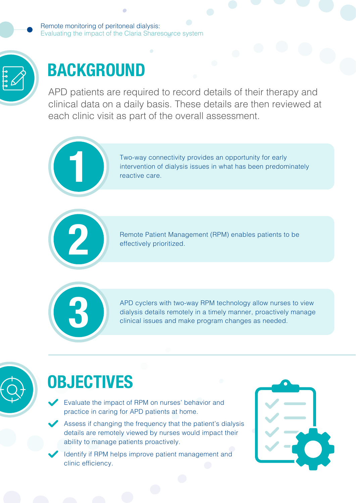Remote monitoring of peritoneal dialysis: Evaluating the impact of the Claria Sharesource system



# **BACKGROUND**

APD patients are required to record details of their therapy and clinical data on a daily basis. These details are then reviewed at each clinic visit as part of the overall assessment.



Two-way connectivity provides an opportunity for early intervention of dialysis issues in what has been predominately **1** reactive care.

Remote Patient Management (RPM) enables patients to be effectively prioritized.



APD cyclers with two-way RPM technology allow nurses to view dialysis details remotely in a timely manner, proactively manage **3** clinical issues and make program changes as needed.



#### **OBJECTIVES**

- Evaluate the impact of RPM on nurses' behavior and practice in caring for APD patients at home.
- Assess if changing the frequency that the patient's dialysis details are remotely viewed by nurses would impact their ability to manage patients proactively.
- Identify if RPM helps improve patient management and clinic efficiency.

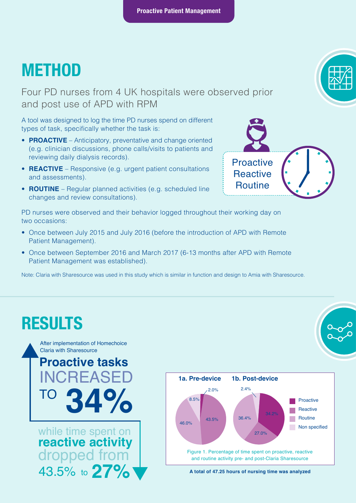#### **METHOD**

Four PD nurses from 4 UK hospitals were observed prior and post use of APD with RPM

A tool was designed to log the time PD nurses spend on different types of task, specifically whether the task is:

- **PROACTIVE** Anticipatory, preventative and change oriented (e.g. clinician discussions, phone calls/visits to patients and reviewing daily dialysis records).
- **REACTIVE** Responsive (e.g. urgent patient consultations and assessments).
- **ROUTINE** Regular planned activities (e.g. scheduled line changes and review consultations).

PD nurses were observed and their behavior logged throughout their working day on two occasions:

- Once between July 2015 and July 2016 (before the introduction of APD with Remote Patient Management).
- Once between September 2016 and March 2017 (6-13 months after APD with Remote Patient Management was established).

Note: Claria with Sharesource was used in this study which is similar in function and design to Amia with Sharesource.